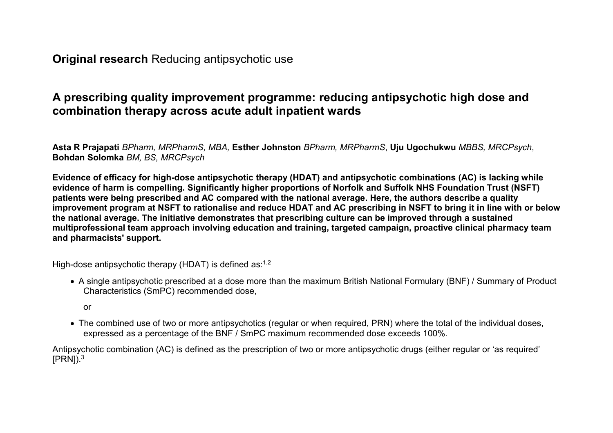**Original research** Reducing antipsychotic use

# **A prescribing quality improvement programme: reducing antipsychotic high dose and combination therapy across acute adult inpatient wards**

**Asta R Prajapati** *BPharm, MRPharmS, MBA,* **Esther Johnston** *BPharm, MRPharmS*, **Uju Ugochukwu** *MBBS, MRCPsych*, **Bohdan Solomka** *BM, BS, MRCPsych*

**Evidence of efficacy for high-dose antipsychotic therapy (HDAT) and antipsychotic combinations (AC) is lacking while evidence of harm is compelling. Significantly higher proportions of Norfolk and Suffolk NHS Foundation Trust (NSFT) patients were being prescribed and AC compared with the national average. Here, the authors describe a quality improvement program at NSFT to rationalise and reduce HDAT and AC prescribing in NSFT to bring it in line with or below the national average. The initiative demonstrates that prescribing culture can be improved through a sustained multiprofessional team approach involving education and training, targeted campaign, proactive clinical pharmacy team and pharmacists' support.**

High-dose antipsychotic therapy (HDAT) is defined as: $^{1,2}$ 

- A single antipsychotic prescribed at a dose more than the maximum British National Formulary (BNF) / Summary of Product Characteristics (SmPC) recommended dose,
	- or
- The combined use of two or more antipsychotics (regular or when required, PRN) where the total of the individual doses, expressed as a percentage of the BNF / SmPC maximum recommended dose exceeds 100%.

Antipsychotic combination (AC) is defined as the prescription of two or more antipsychotic drugs (either regular or 'as required'  $[PRN]$ ).<sup>3</sup>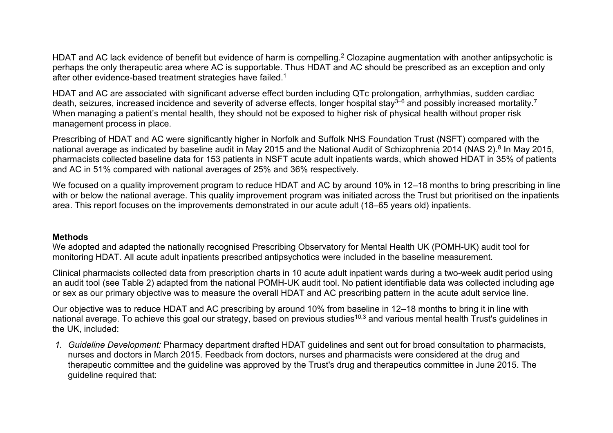HDAT and AC lack evidence of benefit but evidence of harm is compelling. $^2$  Clozapine augmentation with another antipsychotic is perhaps the only therapeutic area where AC is supportable. Thus HDAT and AC should be prescribed as an exception and only after other evidence-based treatment strategies have failed.<sup>1</sup>

HDAT and AC are associated with significant adverse effect burden including QTc prolongation, arrhythmias, sudden cardiac death, seizures, increased incidence and severity of adverse effects, longer hospital stay<sup>3–6</sup> and possibly increased mortality.<sup>7</sup> When managing a patient's mental health, they should not be exposed to higher risk of physical health without proper risk management process in place.

Prescribing of HDAT and AC were significantly higher in Norfolk and Suffolk NHS Foundation Trust (NSFT) compared with the national average as indicated by baseline audit in May 2015 and the National Audit of Schizophrenia 2014 (NAS 2).<sup>8</sup> In May 2015, pharmacists collected baseline data for 153 patients in NSFT acute adult inpatients wards, which showed HDAT in 35% of patients and AC in 51% compared with national averages of 25% and 36% respectively.

We focused on a quality improvement program to reduce HDAT and AC by around 10% in 12–18 months to bring prescribing in line with or below the national average. This quality improvement program was initiated across the Trust but prioritised on the inpatients area. This report focuses on the improvements demonstrated in our acute adult (18–65 years old) inpatients.

## **Methods**

We adopted and adapted the nationally recognised Prescribing Observatory for Mental Health UK (POMH-UK) audit tool for monitoring HDAT. All acute adult inpatients prescribed antipsychotics were included in the baseline measurement.

Clinical pharmacists collected data from prescription charts in 10 acute adult inpatient wards during a two-week audit period using an audit tool (see Table 2) adapted from the national POMH-UK audit tool. No patient identifiable data was collected including age or sex as our primary objective was to measure the overall HDAT and AC prescribing pattern in the acute adult service line.

Our objective was to reduce HDAT and AC prescribing by around 10% from baseline in 12–18 months to bring it in line with national average. To achieve this goal our strategy, based on previous studies<sup>10,3</sup> and various mental health Trust's guidelines in the UK, included:

*1. Guideline Development:* Pharmacy department drafted HDAT guidelines and sent out for broad consultation to pharmacists, nurses and doctors in March 2015. Feedback from doctors, nurses and pharmacists were considered at the drug and therapeutic committee and the guideline was approved by the Trust's drug and therapeutics committee in June 2015. The guideline required that: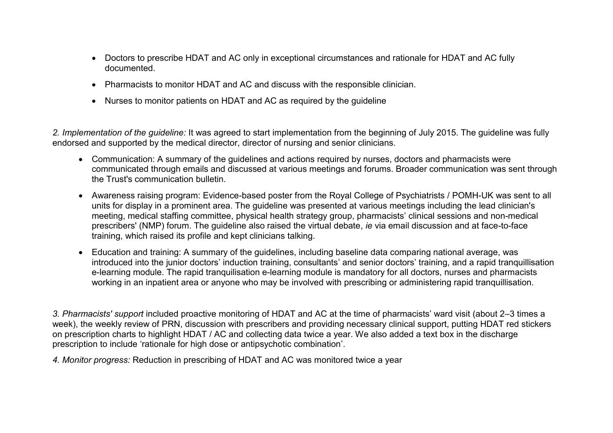- Doctors to prescribe HDAT and AC only in exceptional circumstances and rationale for HDAT and AC fully documented.
- Pharmacists to monitor HDAT and AC and discuss with the responsible clinician.
- Nurses to monitor patients on HDAT and AC as required by the guideline

*2. Implementation of the guideline:* It was agreed to start implementation from the beginning of July 2015. The guideline was fully endorsed and supported by the medical director, director of nursing and senior clinicians.

- Communication: A summary of the guidelines and actions required by nurses, doctors and pharmacists were communicated through emails and discussed at various meetings and forums. Broader communication was sent through the Trust's communication bulletin.
- Awareness raising program: Evidence-based poster from the Royal College of Psychiatrists / POMH-UK was sent to all units for display in a prominent area. The guideline was presented at various meetings including the lead clinician's meeting, medical staffing committee, physical health strategy group, pharmacists' clinical sessions and non-medical prescribers' (NMP) forum. The guideline also raised the virtual debate, *ie* via email discussion and at face-to-face training, which raised its profile and kept clinicians talking.
- Education and training: A summary of the guidelines, including baseline data comparing national average, was introduced into the junior doctors' induction training, consultants' and senior doctors' training, and a rapid tranquillisation e-learning module. The rapid tranquilisation e-learning module is mandatory for all doctors, nurses and pharmacists working in an inpatient area or anyone who may be involved with prescribing or administering rapid tranquillisation.

*3. Pharmacists' support* included proactive monitoring of HDAT and AC at the time of pharmacists' ward visit (about 2–3 times a week), the weekly review of PRN, discussion with prescribers and providing necessary clinical support, putting HDAT red stickers on prescription charts to highlight HDAT / AC and collecting data twice a year. We also added a text box in the discharge prescription to include 'rationale for high dose or antipsychotic combination'.

*4. Monitor progress:* Reduction in prescribing of HDAT and AC was monitored twice a year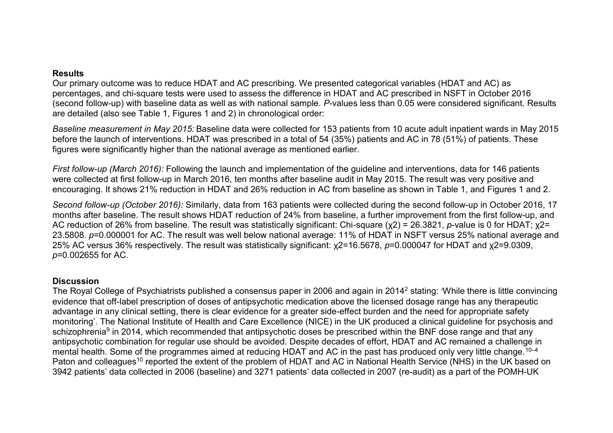#### **Results**

Our primary outcome was to reduce HDAT and AC prescribing. We presented categorical variables (HDAT and AC) as percentages, and chi-square tests were used to assess the difference in HDAT and AC prescribed in NSFT in October 2016 (second follow-up) with baseline data as well as with national sample. *P*-values less than 0.05 were considered significant. Results are detailed (also see Table 1, Figures 1 and 2) in chronological order:

*Baseline measurement in May 2015:* Baseline data were collected for 153 patients from 10 acute adult inpatient wards in May 2015 before the launch of interventions. HDAT was prescribed in a total of 54 (35%) patients and AC in 78 (51%) of patients. These figures were significantly higher than the national average as mentioned earlier.

*First follow-up (March 2016):* Following the launch and implementation of the guideline and interventions, data for 146 patients were collected at first follow-up in March 2016, ten months after baseline audit in May 2015. The result was very positive and encouraging. It shows 21% reduction in HDAT and 26% reduction in AC from baseline as shown in Table 1, and Figures 1 and 2.

*Second follow-up (October 2016):* Similarly, data from 163 patients were collected during the second follow-up in October 2016, 17 months after baseline. The result shows HDAT reduction of 24% from baseline, a further improvement from the first follow-up, and AC reduction of 26% from baseline. The result was statistically significant: Chi-square (χ2) = 26.3821, *p*-value is 0 for HDAT; χ2= 23.5808. *p*=0.000001 for AC. The result was well below national average: 11% of HDAT in NSFT versus 25% national average and 25% AC versus 36% respectively. The result was statistically significant: χ2=16.5678, *p*=0.000047 for HDAT and χ2=9.0309, *p*=0.002655 for AC.

# **Discussion**

The Royal College of Psychiatrists published a consensus paper in 2006 and again in 2014<sup>2</sup> stating: 'While there is little convincing evidence that off-label prescription of doses of antipsychotic medication above the licensed dosage range has any therapeutic advantage in any clinical setting, there is clear evidence for a greater side-effect burden and the need for appropriate safety monitoring'. The National Institute of Health and Care Excellence (NICE) in the UK produced a clinical guideline for psychosis and schizophrenia<sup>9</sup> in 2014, which recommended that antipsychotic doses be prescribed within the BNF dose range and that any antipsychotic combination for regular use should be avoided. Despite decades of effort, HDAT and AC remained a challenge in mental health. Some of the programmes aimed at reducing HDAT and AC in the past has produced only very little change.<sup>10–4</sup> Paton and colleagues<sup>10</sup> reported the extent of the problem of HDAT and AC in National Health Service (NHS) in the UK based on 3942 patients' data collected in 2006 (baseline) and 3271 patients' data collected in 2007 (re-audit) as a part of the POMH-UK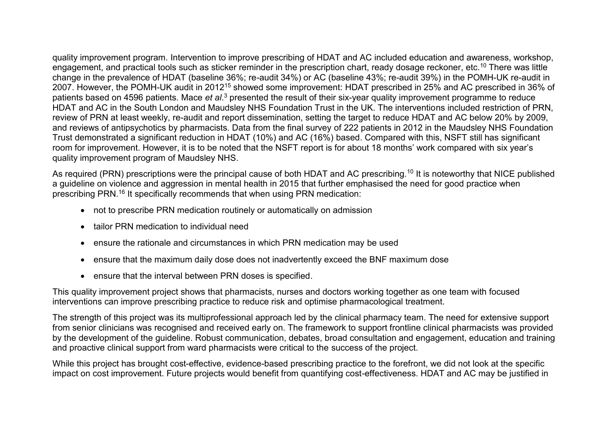quality improvement program. Intervention to improve prescribing of HDAT and AC included education and awareness, workshop, engagement, and practical tools such as sticker reminder in the prescription chart, ready dosage reckoner, etc.<sup>10</sup> There was little change in the prevalence of HDAT (baseline 36%; re-audit 34%) or AC (baseline 43%; re-audit 39%) in the POMH-UK re-audit in 2007. However, the POMH-UK audit in 2012<sup>15</sup> showed some improvement: HDAT prescribed in 25% and AC prescribed in 36% of patients based on 4596 patients. Mace *et al*.<sup>3</sup> presented the result of their six-year quality improvement programme to reduce HDAT and AC in the South London and Maudsley NHS Foundation Trust in the UK. The interventions included restriction of PRN, review of PRN at least weekly, re-audit and report dissemination, setting the target to reduce HDAT and AC below 20% by 2009, and reviews of antipsychotics by pharmacists. Data from the final survey of 222 patients in 2012 in the Maudsley NHS Foundation Trust demonstrated a significant reduction in HDAT (10%) and AC (16%) based. Compared with this, NSFT still has significant room for improvement. However, it is to be noted that the NSFT report is for about 18 months' work compared with six year's quality improvement program of Maudsley NHS.

As required (PRN) prescriptions were the principal cause of both HDAT and AC prescribing.<sup>10</sup> It is noteworthy that NICE published a guideline on violence and aggression in mental health in 2015 that further emphasised the need for good practice when prescribing PRN.<sup>16</sup> It specifically recommends that when using PRN medication:

- not to prescribe PRN medication routinely or automatically on admission
- tailor PRN medication to individual need
- ensure the rationale and circumstances in which PRN medication may be used
- ensure that the maximum daily dose does not inadvertently exceed the BNF maximum dose
- ensure that the interval between PRN doses is specified.

This quality improvement project shows that pharmacists, nurses and doctors working together as one team with focused interventions can improve prescribing practice to reduce risk and optimise pharmacological treatment.

The strength of this project was its multiprofessional approach led by the clinical pharmacy team. The need for extensive support from senior clinicians was recognised and received early on. The framework to support frontline clinical pharmacists was provided by the development of the guideline. Robust communication, debates, broad consultation and engagement, education and training and proactive clinical support from ward pharmacists were critical to the success of the project.

While this project has brought cost-effective, evidence-based prescribing practice to the forefront, we did not look at the specific impact on cost improvement. Future projects would benefit from quantifying cost-effectiveness. HDAT and AC may be justified in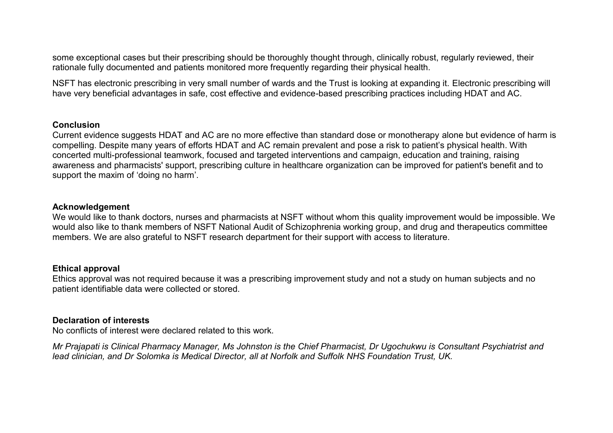some exceptional cases but their prescribing should be thoroughly thought through, clinically robust, regularly reviewed, their rationale fully documented and patients monitored more frequently regarding their physical health.

NSFT has electronic prescribing in very small number of wards and the Trust is looking at expanding it. Electronic prescribing will have very beneficial advantages in safe, cost effective and evidence-based prescribing practices including HDAT and AC.

#### **Conclusion**

Current evidence suggests HDAT and AC are no more effective than standard dose or monotherapy alone but evidence of harm is compelling. Despite many years of efforts HDAT and AC remain prevalent and pose a risk to patient's physical health. With concerted multi-professional teamwork, focused and targeted interventions and campaign, education and training, raising awareness and pharmacists' support, prescribing culture in healthcare organization can be improved for patient's benefit and to support the maxim of 'doing no harm'.

#### **Acknowledgement**

We would like to thank doctors, nurses and pharmacists at NSFT without whom this quality improvement would be impossible. We would also like to thank members of NSFT National Audit of Schizophrenia working group, and drug and therapeutics committee members. We are also grateful to NSFT research department for their support with access to literature.

## **Ethical approval**

Ethics approval was not required because it was a prescribing improvement study and not a study on human subjects and no patient identifiable data were collected or stored.

## **Declaration of interests**

No conflicts of interest were declared related to this work.

*Mr Prajapati is Clinical Pharmacy Manager, Ms Johnston is the Chief Pharmacist, Dr Ugochukwu is Consultant Psychiatrist and lead clinician, and Dr Solomka is Medical Director, all at Norfolk and Suffolk NHS Foundation Trust, UK.*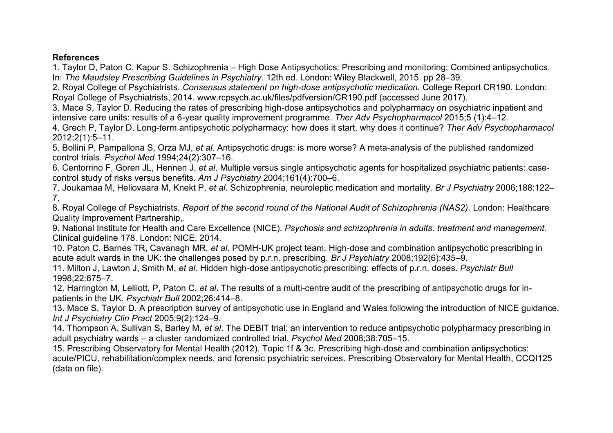# **References**

1. Taylor D, Paton C, Kapur S. Schizophrenia – High Dose Antipsychotics: Prescribing and monitoring; Combined antipsychotics. In: *The Maudsley Prescribing Guidelines in Psychiatry.* 12th ed. London: Wiley Blackwell, 2015. pp 28–39.

2. Royal College of Psychiatrists. *Consensus statement on high-dose antipsychotic medication.* College Report CR190. London: Royal College of Psychiatrists, 2014. www.rcpsych.ac.uk/files/pdfversion/CR190.pdf (accessed June 2017).

3. Mace S, Taylor D. Reducing the rates of prescribing high-dose antipsychotics and polypharmacy on psychiatric inpatient and intensive care units: results of a 6-year quality improvement programme. *Ther Adv Psychopharmacol* 2015;5 (1):4–12.

4. Grech P, Taylor D. Long-term antipsychotic polypharmacy: how does it start, why does it continue? *Ther Adv Psychopharmacol* 2012;2(1):5–11.

5. Bollini P, Pampallona S, Orza MJ, *et al*. Antipsychotic drugs: is more worse? A meta-analysis of the published randomized control trials. *Psychol Med* 1994;24(2):307–16.

6. Centorrino F, Goren JL, Hennen J, *et al*. Multiple versus single antipsychotic agents for hospitalized psychiatric patients: casecontrol study of risks versus benefits. *Am J Psychiatry* 2004;161(4):700–6.

7. Joukamaa M, Heliovaara M, Knekt P, *et al*. Schizophrenia, neuroleptic medication and mortality. *Br J Psychiatry* 2006;188:122– 7.

8. Royal College of Psychiatrists. *Report of the second round of the National Audit of Schizophrenia (NAS2).* London: Healthcare Quality Improvement Partnership,.

9. National Institute for Health and Care Excellence (NICE). *Psychosis and schizophrenia in adults: treatment and management.* Clinical guideline 178. London: NICE, 2014.

10. Paton C, Barnes TR, Cavanagh MR, *et al*. POMH-UK project team. High-dose and combination antipsychotic prescribing in acute adult wards in the UK: the challenges posed by p.r.n. prescribing. *Br J Psychiatry* 2008;192(6):435–9.

11. Milton J, Lawton J, Smith M, *et al*. Hidden high-dose antipsychotic prescribing: effects of p.r.n. doses. *Psychiatr Bull* 1998;22:675–7.

12. Harrington M, Lelliott, P, Paton C, *et al*. The results of a multi-centre audit of the prescribing of antipsychotic drugs for inpatients in the UK. *Psychiatr Bull* 2002;26:414–8.

13. Mace S, Taylor D. A prescription survey of antipsychotic use in England and Wales following the introduction of NICE guidance. *Int J Psychiatry Clin Pract* 2005;9(2):124–9.

14. Thompson A, Sullivan S, Barley M, *et al*. The DEBIT trial: an intervention to reduce antipsychotic polypharmacy prescribing in adult psychiatry wards – a cluster randomized controlled trial. *Psychol Med* 2008;38:705–15.

15. Prescribing Observatory for Mental Health (2012). Topic 1f & 3c. Prescribing high-dose and combination antipsychotics: acute/PICU, rehabilitation/complex needs, and forensic psychiatric services. Prescribing Observatory for Mental Health, CCQI125 (data on file).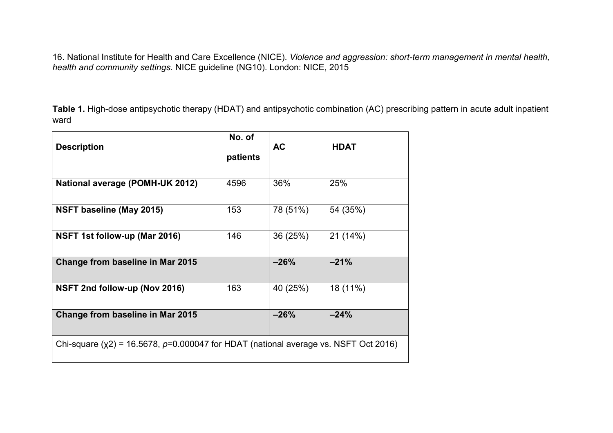16. National Institute for Health and Care Excellence (NICE). *Violence and aggression: short-term management in mental health, health and community settings*. NICE guideline (NG10). London: NICE, 2015

**Table 1.** High-dose antipsychotic therapy (HDAT) and antipsychotic combination (AC) prescribing pattern in acute adult inpatient ward

| <b>Description</b>                                                                        | No. of<br>patients | <b>AC</b> | <b>HDAT</b> |
|-------------------------------------------------------------------------------------------|--------------------|-----------|-------------|
| <b>National average (POMH-UK 2012)</b>                                                    | 4596               | 36%       | 25%         |
| NSFT baseline (May 2015)                                                                  | 153                | 78 (51%)  | 54 (35%)    |
| NSFT 1st follow-up (Mar 2016)                                                             | 146                | 36 (25%)  | 21 (14%)    |
| Change from baseline in Mar 2015                                                          |                    | $-26%$    | $-21%$      |
| NSFT 2nd follow-up (Nov 2016)                                                             | 163                | 40 (25%)  | 18 (11%)    |
| Change from baseline in Mar 2015                                                          |                    | $-26%$    | $-24%$      |
| Chi-square ( $x2$ ) = 16.5678, $p=0.000047$ for HDAT (national average vs. NSFT Oct 2016) |                    |           |             |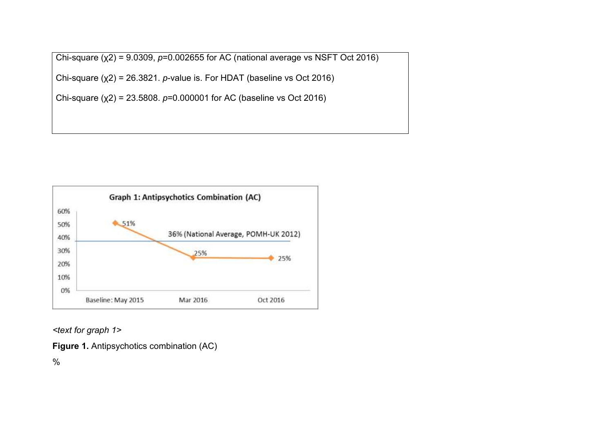Chi-square (χ2) = 9.0309, *p*=0.002655 for AC (national average vs NSFT Oct 2016)

Chi-square (χ2) = 26.3821. *p*-value is. For HDAT (baseline vs Oct 2016)

Chi-square (χ2) = 23.5808. *p*=0.000001 for AC (baseline vs Oct 2016)



*<text for graph 1>*

**Figure 1.** Antipsychotics combination (AC)

%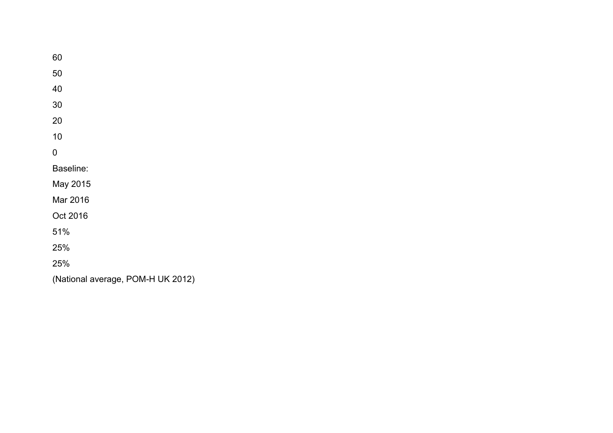60 50 40 30 20 10 0 Baseline: May 2015 Mar 2016 Oct 2016 51% 25% 25% (National average, POM-H UK 2012)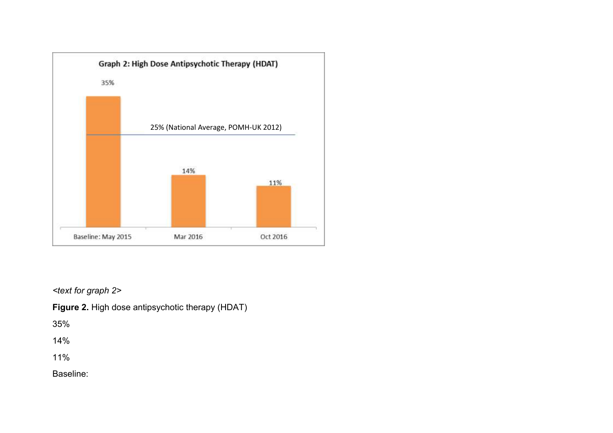

*<text for graph 2>*

**Figure 2.** High dose antipsychotic therapy (HDAT)

35%

14%

11%

Baseline: